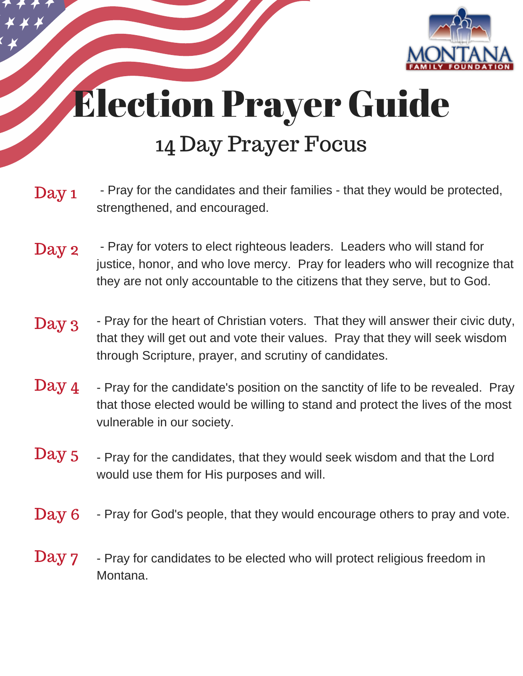

## Election Prayer Guide 14 Day Prayer Focus

- Pray for the candidates and their families that they would be protected, strengthened, and encouraged. Day 1
- Day 2 Pray for voters to elect righteous leaders. Leaders who will stand for justice, honor, and who love mercy. Pray for leaders who will recognize that they are not only accountable to the citizens that they serve, but to God.
- Day 3 Pray for the heart of Christian voters. That they will answer their civic duty, that they will get out and vote their values. Pray that they will seek wisdom through Scripture, prayer, and scrutiny of candidates.
- $\text{Day 4}$  Pray for the candidate's position on the sanctity of life to be revealed. Pray that those elected would be willing to stand and protect the lives of the most vulnerable in our society.
- $\text{Day 5}$  Pray for the candidates, that they would seek wisdom and that the Lord would use them for His purposes and will.
- Day 6 Pray for God's people, that they would encourage others to pray and vote.
- **Day 7** Pray for candidates to be elected who will protect religious freedom in Montana.